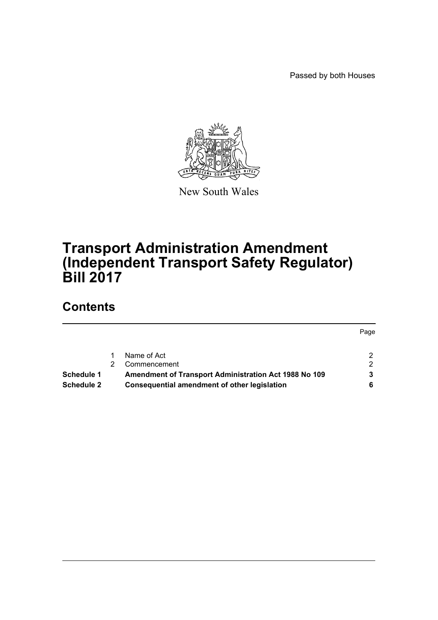Passed by both Houses



New South Wales

# **Transport Administration Amendment (Independent Transport Safety Regulator) Bill 2017**

# **Contents**

|                   | Name of Act                                                  |   |
|-------------------|--------------------------------------------------------------|---|
|                   |                                                              |   |
|                   | Commencement                                                 | ົ |
| <b>Schedule 1</b> | <b>Amendment of Transport Administration Act 1988 No 109</b> |   |
| <b>Schedule 2</b> | Consequential amendment of other legislation                 |   |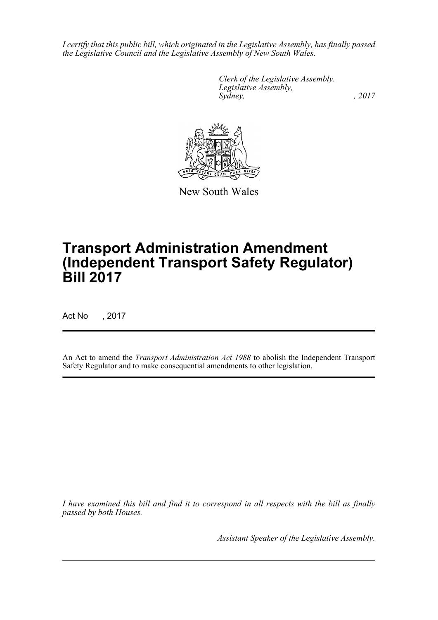*I certify that this public bill, which originated in the Legislative Assembly, has finally passed the Legislative Council and the Legislative Assembly of New South Wales.*

> *Clerk of the Legislative Assembly. Legislative Assembly, Sydney,* , 2017



New South Wales

# **Transport Administration Amendment (Independent Transport Safety Regulator) Bill 2017**

Act No , 2017

An Act to amend the *Transport Administration Act 1988* to abolish the Independent Transport Safety Regulator and to make consequential amendments to other legislation.

*I have examined this bill and find it to correspond in all respects with the bill as finally passed by both Houses.*

*Assistant Speaker of the Legislative Assembly.*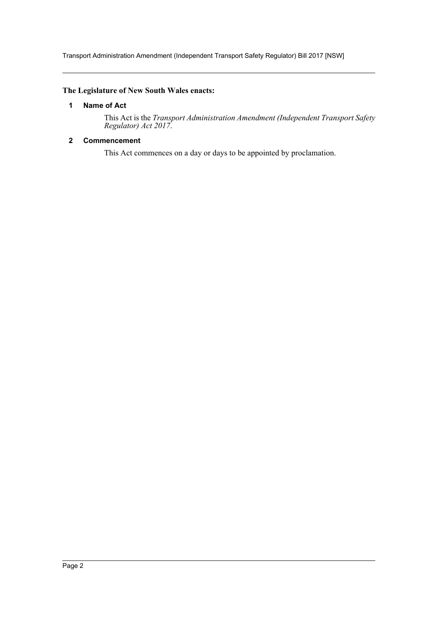Transport Administration Amendment (Independent Transport Safety Regulator) Bill 2017 [NSW]

#### <span id="page-2-0"></span>**The Legislature of New South Wales enacts:**

#### **1 Name of Act**

This Act is the *Transport Administration Amendment (Independent Transport Safety Regulator) Act 2017*.

#### <span id="page-2-1"></span>**2 Commencement**

This Act commences on a day or days to be appointed by proclamation.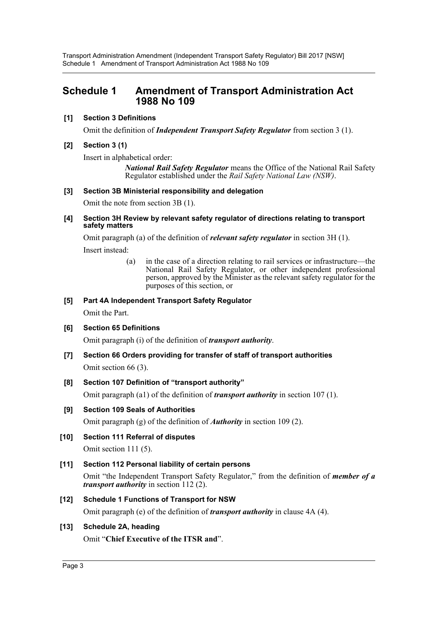Transport Administration Amendment (Independent Transport Safety Regulator) Bill 2017 [NSW] Schedule 1 Amendment of Transport Administration Act 1988 No 109

# <span id="page-3-0"></span>**Schedule 1 Amendment of Transport Administration Act 1988 No 109**

#### **[1] Section 3 Definitions**

Omit the definition of *Independent Transport Safety Regulator* from section 3 (1).

#### **[2] Section 3 (1)**

Insert in alphabetical order:

*National Rail Safety Regulator* means the Office of the National Rail Safety Regulator established under the *Rail Safety National Law (NSW)*.

#### **[3] Section 3B Ministerial responsibility and delegation**

Omit the note from section 3B (1).

**[4] Section 3H Review by relevant safety regulator of directions relating to transport safety matters**

Omit paragraph (a) of the definition of *relevant safety regulator* in section 3H (1).

Insert instead:

(a) in the case of a direction relating to rail services or infrastructure—the National Rail Safety Regulator, or other independent professional person, approved by the Minister as the relevant safety regulator for the purposes of this section, or

#### **[5] Part 4A Independent Transport Safety Regulator**

Omit the Part.

#### **[6] Section 65 Definitions**

Omit paragraph (i) of the definition of *transport authority*.

**[7] Section 66 Orders providing for transfer of staff of transport authorities** Omit section 66 (3).

#### **[8] Section 107 Definition of "transport authority"**

Omit paragraph (a1) of the definition of *transport authority* in section 107 (1).

#### **[9] Section 109 Seals of Authorities**

Omit paragraph (g) of the definition of *Authority* in section 109 (2).

**[10] Section 111 Referral of disputes**

Omit section 111 (5).

#### **[11] Section 112 Personal liability of certain persons**

Omit "the Independent Transport Safety Regulator," from the definition of *member of a transport authority* in section 112 (2).

#### **[12] Schedule 1 Functions of Transport for NSW**

Omit paragraph (e) of the definition of *transport authority* in clause 4A (4).

#### **[13] Schedule 2A, heading**

Omit "**Chief Executive of the ITSR and**".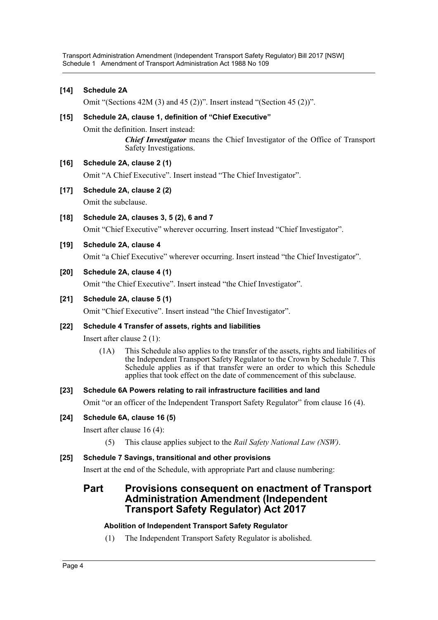Transport Administration Amendment (Independent Transport Safety Regulator) Bill 2017 [NSW] Schedule 1 Amendment of Transport Administration Act 1988 No 109

**[14] Schedule 2A**

Omit "(Sections 42M (3) and 45 (2))". Insert instead "(Section 45 (2))".

#### **[15] Schedule 2A, clause 1, definition of "Chief Executive"**

Omit the definition. Insert instead:

*Chief Investigator* means the Chief Investigator of the Office of Transport Safety Investigations.

#### **[16] Schedule 2A, clause 2 (1)**

Omit "A Chief Executive". Insert instead "The Chief Investigator".

**[17] Schedule 2A, clause 2 (2)**

Omit the subclause.

**[18] Schedule 2A, clauses 3, 5 (2), 6 and 7**

Omit "Chief Executive" wherever occurring. Insert instead "Chief Investigator".

#### **[19] Schedule 2A, clause 4**

Omit "a Chief Executive" wherever occurring. Insert instead "the Chief Investigator".

#### **[20] Schedule 2A, clause 4 (1)**

Omit "the Chief Executive". Insert instead "the Chief Investigator".

#### **[21] Schedule 2A, clause 5 (1)**

Omit "Chief Executive". Insert instead "the Chief Investigator".

#### **[22] Schedule 4 Transfer of assets, rights and liabilities**

Insert after clause 2 (1):

(1A) This Schedule also applies to the transfer of the assets, rights and liabilities of the Independent Transport Safety Regulator to the Crown by Schedule 7. This Schedule applies as if that transfer were an order to which this Schedule applies that took effect on the date of commencement of this subclause.

#### **[23] Schedule 6A Powers relating to rail infrastructure facilities and land**

Omit "or an officer of the Independent Transport Safety Regulator" from clause 16 (4).

#### **[24] Schedule 6A, clause 16 (5)**

Insert after clause 16 (4):

(5) This clause applies subject to the *Rail Safety National Law (NSW)*.

#### **[25] Schedule 7 Savings, transitional and other provisions**

Insert at the end of the Schedule, with appropriate Part and clause numbering:

# **Part Provisions consequent on enactment of Transport Administration Amendment (Independent Transport Safety Regulator) Act 2017**

#### **Abolition of Independent Transport Safety Regulator**

(1) The Independent Transport Safety Regulator is abolished.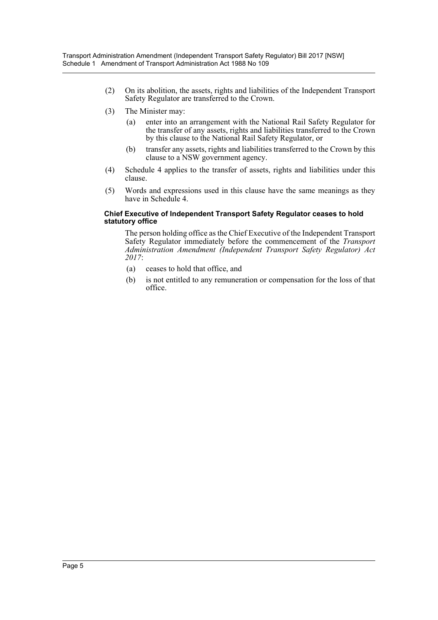- (2) On its abolition, the assets, rights and liabilities of the Independent Transport Safety Regulator are transferred to the Crown.
- (3) The Minister may:
	- (a) enter into an arrangement with the National Rail Safety Regulator for the transfer of any assets, rights and liabilities transferred to the Crown by this clause to the National Rail Safety Regulator, or
	- (b) transfer any assets, rights and liabilities transferred to the Crown by this clause to a NSW government agency.
- (4) Schedule 4 applies to the transfer of assets, rights and liabilities under this clause.
- (5) Words and expressions used in this clause have the same meanings as they have in Schedule 4

#### **Chief Executive of Independent Transport Safety Regulator ceases to hold statutory office**

The person holding office as the Chief Executive of the Independent Transport Safety Regulator immediately before the commencement of the *Transport Administration Amendment (Independent Transport Safety Regulator) Act 2017*:

- (a) ceases to hold that office, and
- (b) is not entitled to any remuneration or compensation for the loss of that office.